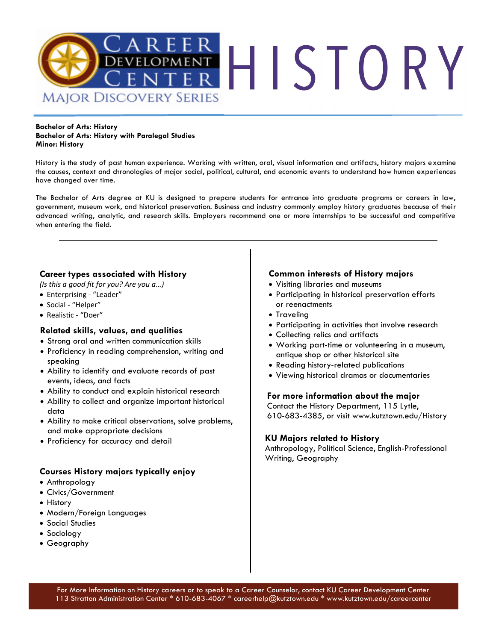

#### **Bachelor of Arts: History Bachelor of Arts: History with Paralegal Studies Minor: History**

History is the study of past human experience. Working with written, oral, visual information and artifacts, history majors examine the causes, context and chronologies of major social, political, cultural, and economic events to understand how human experiences have changed over time.

The Bachelor of Arts degree at KU is designed to prepare students for entrance into graduate programs or careers in law, government, museum work, and historical preservation. Business and industry commonly employ history graduates because of their advanced writing, analytic, and research skills. Employers recommend one or more internships to be successful and competitive when entering the field.

## **Career types associated with History**

*(Is this a good fit for you? Are you a…)*

- Enterprising "Leader"
- Social "Helper"
- Realistic "Doer"

## **Related skills, values, and qualities**

- Strong oral and written communication skills
- Proficiency in reading comprehension, writing and speaking
- Ability to identify and evaluate records of past events, ideas, and facts
- Ability to conduct and explain historical research
- Ability to collect and organize important historical data
- Ability to make critical observations, solve problems, and make appropriate decisions
- Proficiency for accuracy and detail

## **Courses History majors typically enjoy**

- Anthropology
- Civics/Government
- History
- Modern/Foreign Languages
- Social Studies
- Sociology
- Geography

## **Common interests of History majors**

- Visiting libraries and museums
- Participating in historical preservation efforts or reenactments
- Traveling
- Participating in activities that involve research
- Collecting relics and artifacts
- Working part-time or volunteering in a museum, antique shop or other historical site
- Reading history-related publications
- Viewing historical dramas or documentaries

### **For more information about the major**

Contact the History Department, 115 Lytle, 610-683-4385, or visit www.kutztown.edu/History

## **KU Majors related to History**

Anthropology, Political Science, English-Professional Writing, Geography

For More Information on History careers or to speak to a Career Counselor, contact KU Career Development Center 113 Stratton Administration Center \* 610-683-4067 \* careerhelp@kutztown.edu \* www.kutztown.edu/careercenter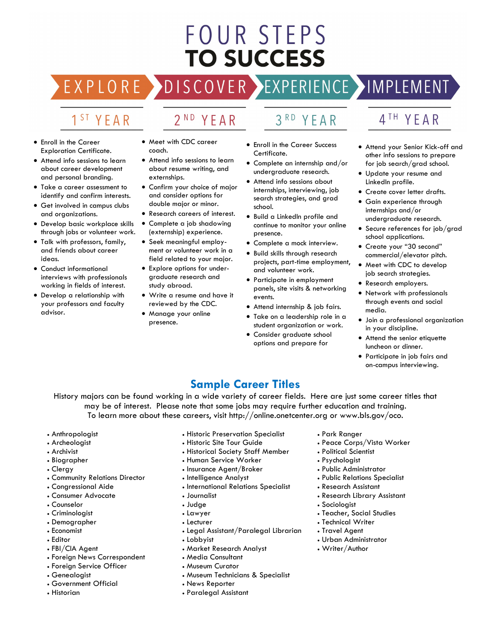# FOUR STEPS **TO SUCCESS**

## DISCOVER EXPERIENCE MOPLEMENT

2<sup>ND</sup> YEAR

## 1<sup>ST</sup> YEAR

EXPLORE >

- Enroll in the Career Exploration Certificate.
- Attend info sessions to learn about career development and personal branding.
- Take a career assessment to identify and confirm interests.
- Get involved in campus clubs and organizations.
- Develop basic workplace skills through jobs or volunteer work.
- Talk with professors, family, and friends about career ideas.
- Conduct informational interviews with professionals working in fields of interest.
- Develop a relationship with your professors and faculty advisor.
- Meet with CDC career coach.
- Attend info sessions to learn about resume writing, and externships.
- Confirm your choice of major and consider options for double major or minor.
- Research careers of interest.
- Complete a job shadowing (externship) experience.
- Seek meaningful employment or volunteer work in a field related to your major.
- Explore options for undergraduate research and study abroad.
- Write a resume and have it reviewed by the CDC.
- Manage your online presence.

## 3RD YEAR

- Enroll in the Career Success Certificate.
- Complete an internship and/or undergraduate research.
- Attend info sessions about internships, interviewing, job search strategies, and grad school.
- Build a LinkedIn profile and continue to monitor your online presence.
- Complete a mock interview.
- Build skills through research projects, part-time employment, and volunteer work.
- Participate in employment panels, site visits & networking events.
- Attend internship & job fairs.
- Take on a leadership role in a student organization or work.
- Consider graduate school options and prepare for
- 4TH YEAR
- Attend your Senior Kick-off and other info sessions to prepare for job search/grad school.
- Update your resume and LinkedIn profile.
- Create cover letter drafts.
- Gain experience through internships and/or undergraduate research.
- Secure references for job/grad school applications.
- Create your "30 second" commercial/elevator pitch.
- Meet with CDC to develop job search strategies.
- Research employers.
- Network with professionals through events and social media.
- Join a professional organization in your discipline.
- Attend the senior etiquette luncheon or dinner.
- Participate in job fairs and on-campus interviewing.

## **Sample Career Titles**

History majors can be found working in a wide variety of career fields. Here are just some career titles that may be of interest. Please note that some jobs may require further education and training. To learn more about these careers, visit http://online.onetcenter.org or www.bls.gov/oco.

- Anthropologist
- Archeologist
- Archivist
- Biographer
- Clergy
- Community Relations Director
- Congressional Aide
- Consumer Advocate
- Counselor
- Criminologist
- Demographer
- Economist
- Editor
- FBI/CIA Agent
- Foreign News Correspondent
- Foreign Service Officer
- Genealogist
- Government Official
- Historian
- Historic Preservation Specialist
- Historic Site Tour Guide
- Historical Society Staff Member
- Human Service Worker
- Insurance Agent/Broker
- Intelligence Analyst
- International Relations Specialist
- Journalist
- Judge
- Lawyer
- Lecturer
- Legal Assistant/Paralegal Librarian
- Lobbyist
- Market Research Analyst
- Media Consultant
- Museum Curator
- Museum Technicians & Specialist
- News Reporter
- Paralegal Assistant
- Park Ranger
- Peace Corps/Vista Worker
- Political Scientist
- Psychologist
- Public Administrator
- Public Relations Specialist
- Research Assistant
- Research Library Assistant
- Sociologist
- Teacher, Social Studies
- Technical Writer
- Travel Agent
- Urban Administrator
- Writer/Author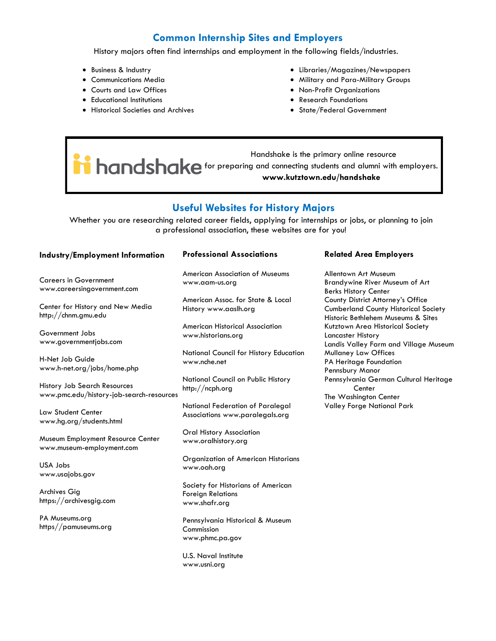## **Common Internship Sites and Employers**

History majors often find internships and employment in the following fields/industries.

- Business & Industry
- Communications Media
- Courts and Law Offices
- Educational Institutions
- Historical Societies and Archives
- Libraries/Magazines/Newspapers
- Military and Para-Military Groups
- Non-Profit Organizations
- Research Foundations
- State/Federal Government

 Handshake is the primary online resource **induction** of the primary change research **hands www.kutztown.edu/handshake**

## **Useful Websites for History Majors**

Whether you are researching related career fields, applying for internships or jobs, or planning to join a professional association, these websites are for you!

#### **Industry/Employment Information**

Careers in Government www.careersingovernment.com

Center for History and New Media http://chnm.gmu.edu

Government Jobs www.governmentjobs.com

H-Net Job Guide www.h-net.org/jobs/home.php

History Job Search Resources www.pmc.edu/history-job-search-resources

Law Student Center www.hg.org/students.html

Museum Employment Resource Center www.museum-employment.com

USA Jobs www.usajobs.gov

Archives Gig https://archivesgig.com

PA Museums.org https//pamuseums.org

#### **Professional Associations**

American Association of Museums www.aam-us.org

American Assoc. for State & Local History www.aaslh.org

American Historical Association www.historians.org

National Council for History Education www.nche.net

National Council on Public History http://ncph.org

National Federation of Paralegal Associations www.paralegals.org

Oral History Association www.oralhistory.org

Organization of American Historians www.oah.org

Society for Historians of American Foreign Relations www.shafr.org

Pennsylvania Historical & Museum Commission www.phmc.pa.gov

U.S. Naval Institute www.usni.org

#### **Related Area Employers**

Allentown Art Museum Brandywine River Museum of Art Berks History Center County District Attorney's Office Cumberland County Historical Society Historic Bethlehem Museums & Sites Kutztown Area Historical Society Lancaster History Landis Valley Farm and Village Museum Mullaney Law Offices PA Heritage Foundation Pennsbury Manor Pennsylvania German Cultural Heritage **Center** The Washington Center Valley Forge National Park